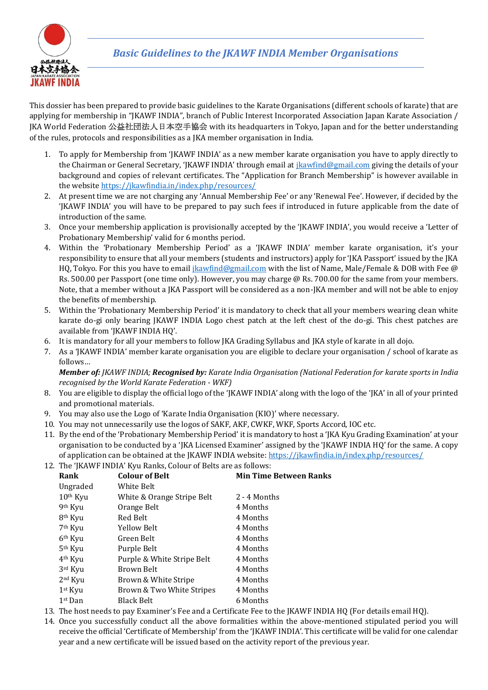

This dossier has been prepared to provide basic guidelines to the Karate Organisations (different schools of karate) that are applying for membership in "JKAWF INDIA", branch of Public Interest Incorporated Association Japan Karate Association / JKA World Federation 公益社団法人日本空手協会 with its headquarters in Tokyo, Japan and for the better understanding of the rules, protocols and responsibilities as a JKA member organisation in India.

- 1. To apply for Membership from 'JKAWF INDIA' as a new member karate organisation you have to apply directly to the Chairman or General Secretary, 'JKAWF INDIA' through email at [jkawfind@gmail.com](mailto:jkawfind@gmail.com) giving the details of your background and copies of relevant certificates. The "Application for Branch Membership" is however available in the websit[e https://jkawfindia.in/index.php/resources/](https://jkawfindia.in/index.php/resources/)
- 2. At present time we are not charging any 'Annual Membership Fee' or any 'Renewal Fee'. However, if decided by the 'JKAWF INDIA' you will have to be prepared to pay such fees if introduced in future applicable from the date of introduction of the same.
- 3. Once your membership application is provisionally accepted by the 'JKAWF INDIA', you would receive a 'Letter of Probationary Membership' valid for 6 months period.
- 4. Within the 'Probationary Membership Period' as a 'JKAWF INDIA' member karate organisation, it's your responsibility to ensure that all your members (students and instructors) apply for 'JKA Passport' issued by the JKA HQ, Tokyo. For this you have to email [jkawfind@gmail.com](mailto:jkawfind@gmail.com) with the list of Name, Male/Female & DOB with Fee @ Rs. 500.00 per Passport (one time only). However, you may charge @ Rs. 700.00 for the same from your members. Note, that a member without a JKA Passport will be considered as a non-JKA member and will not be able to enjoy the benefits of membership.
- 5. Within the 'Probationary Membership Period' it is mandatory to check that all your members wearing clean white karate do-gi only bearing JKAWF INDIA Logo chest patch at the left chest of the do-gi. This chest patches are available from 'JKAWF INDIA HQ'.
- 6. It is mandatory for all your members to follow JKA Grading Syllabus and JKA style of karate in all dojo.
- 7. As a 'JKAWF INDIA' member karate organisation you are eligible to declare your organisation / school of karate as follows…

*Member of: JKAWF INDIA; Recognised by: Karate India Organisation (National Federation for karate sports in India recognised by the World Karate Federation - WKF)*

- 8. You are eligible to display the official logo of the 'JKAWF INDIA' along with the logo of the 'JKA' in all of your printed and promotional materials.
- 9. You may also use the Logo of 'Karate India Organisation (KIO)' where necessary.
- 10. You may not unnecessarily use the logos of SAKF, AKF, CWKF, WKF, Sports Accord, IOC etc.
- 11. By the end of the 'Probationary Membership Period' it is mandatory to host a 'JKA Kyu Grading Examination' at your organisation to be conducted by a 'JKA Licensed Examiner' assigned by the 'JKAWF INDIA HQ' for the same. A copy of application can be obtained at the JKAWF INDIA website: <https://jkawfindia.in/index.php/resources/>
- 12. The 'JKAWF INDIA' Kyu Ranks, Colour of Belts are as follows:

| Rank                | <b>Colour of Belt</b>      | <b>Min Time Between Ranks</b> |
|---------------------|----------------------------|-------------------------------|
| Ungraded            | White Belt                 |                               |
| $10th$ Kyu          | White & Orange Stripe Belt | 2 - 4 Months                  |
| 9 <sup>th</sup> Kyu | Orange Belt                | 4 Months                      |
| 8 <sup>th</sup> Kyu | Red Belt                   | 4 Months                      |
| 7 <sup>th</sup> Kyu | Yellow Belt                | 4 Months                      |
| 6 <sup>th</sup> Kyu | Green Belt                 | 4 Months                      |
| 5 <sup>th</sup> Kyu | Purple Belt                | 4 Months                      |
| 4 <sup>th</sup> Kyu | Purple & White Stripe Belt | 4 Months                      |
| 3rd Kyu             | Brown Belt                 | 4 Months                      |
| $2nd$ Kyu           | Brown & White Stripe       | 4 Months                      |
| $1st$ Kyu           | Brown & Two White Stripes  | 4 Months                      |
| $1st$ Dan           | Black Belt                 | 6 Months                      |
|                     |                            |                               |

- 13. The host needs to pay Examiner's Fee and a Certificate Fee to the JKAWF INDIA HQ (For details email HQ).
- 14. Once you successfully conduct all the above formalities within the above-mentioned stipulated period you will receive the official 'Certificate of Membership' from the 'JKAWF INDIA'. This certificate will be valid for one calendar year and a new certificate will be issued based on the activity report of the previous year.